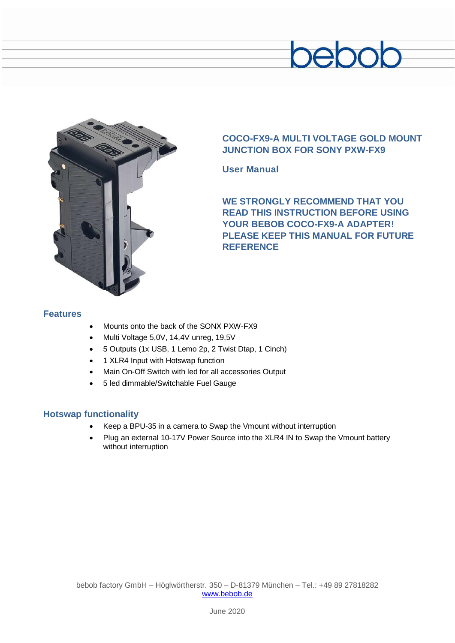# bebob



### **COCO-FX9-A MULTI VOLTAGE GOLD MOUNT JUNCTION BOX FOR SONY PXW-FX9**

**User Manual**

**WE STRONGLY RECOMMEND THAT YOU READ THIS INSTRUCTION BEFORE USING YOUR BEBOB COCO-FX9-A ADAPTER! PLEASE KEEP THIS MANUAL FOR FUTURE REFERENCE**

### **Features**

- Mounts onto the back of the SONX PXW-FX9
- Multi Voltage 5,0V, 14,4V unreg, 19,5V
- 5 Outputs (1x USB, 1 Lemo 2p, 2 Twist Dtap, 1 Cinch)
- 1 XLR4 Input with Hotswap function
- Main On-Off Switch with led for all accessories Output
- 5 led dimmable/Switchable Fuel Gauge

### **Hotswap functionality**

- Keep a BPU-35 in a camera to Swap the Vmount without interruption
- Plug an external 10-17V Power Source into the XLR4 IN to Swap the Vmount battery without interruption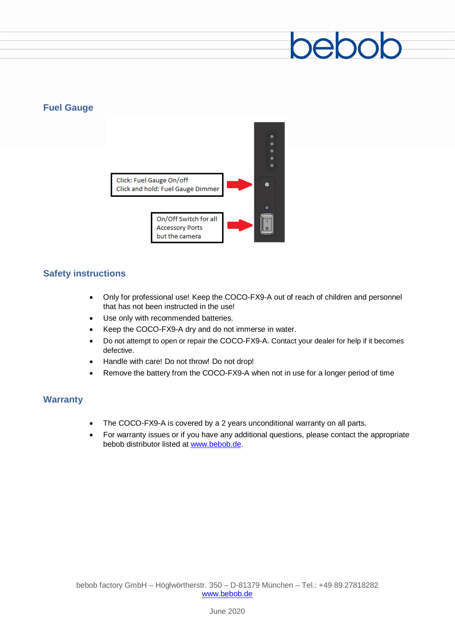## 200

### **Fuel Gauge**



### **Safety instructions**

- Only for professional use! Keep the COCO-FX9-A out of reach of children and personnel that has not been instructed in the use!
- Use only with recommended batteries.
- Keep the COCO-FX9-A dry and do not immerse in water.
- Do not attempt to open or repair the COCO-FX9-A. Contact your dealer for help if it becomes defective.
- Handle with care! Do not throw! Do not drop!
- Remove the battery from the COCO-FX9-A when not in use for a longer period of time

### **Warranty**

- The COCO-FX9-A is covered by a 2 years unconditional warranty on all parts.
- For warranty issues or if you have any additional questions, please contact the appropriate bebob distributor listed at [www.bebob.de.](http://www.bebob.de/)